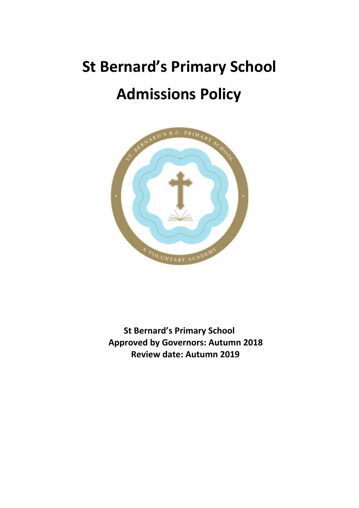# **St Bernard's Primary School Admissions Policy**



**St Bernard's Primary School Approved by Governors: Autumn 2018 Review date: Autumn 2019**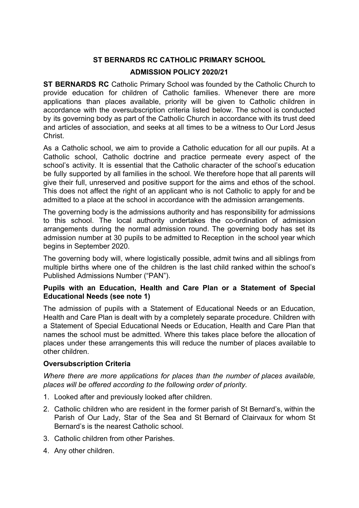# **ST BERNARDS RC CATHOLIC PRIMARY SCHOOL**

# **ADMISSION POLICY 2020/21**

**ST BERNARDS RC** Catholic Primary School was founded by the Catholic Church to provide education for children of Catholic families. Whenever there are more applications than places available, priority will be given to Catholic children in accordance with the oversubscription criteria listed below. The school is conducted by its governing body as part of the Catholic Church in accordance with its trust deed and articles of association, and seeks at all times to be a witness to Our Lord Jesus Christ.

As a Catholic school, we aim to provide a Catholic education for all our pupils. At a Catholic school, Catholic doctrine and practice permeate every aspect of the school's activity. It is essential that the Catholic character of the school's education be fully supported by all families in the school. We therefore hope that all parents will give their full, unreserved and positive support for the aims and ethos of the school. This does not affect the right of an applicant who is not Catholic to apply for and be admitted to a place at the school in accordance with the admission arrangements.

The governing body is the admissions authority and has responsibility for admissions to this school. The local authority undertakes the co-ordination of admission arrangements during the normal admission round. The governing body has set its admission number at 30 pupils to be admitted to Reception in the school year which begins in September 2020.

The governing body will, where logistically possible, admit twins and all siblings from multiple births where one of the children is the last child ranked within the school's Published Admissions Number ("PAN").

#### **Pupils with an Education, Health and Care Plan or a Statement of Special Educational Needs (see note 1)**

The admission of pupils with a Statement of Educational Needs or an Education, Health and Care Plan is dealt with by a completely separate procedure. Children with a Statement of Special Educational Needs or Education, Health and Care Plan that names the school must be admitted. Where this takes place before the allocation of places under these arrangements this will reduce the number of places available to other children.

# **Oversubscription Criteria**

*Where there are more applications for places than the number of places available, places will be offered according to the following order of priority.*

- 1. Looked after and previously looked after children.
- 2. Catholic children who are resident in the former parish of St Bernard's, within the Parish of Our Lady, Star of the Sea and St Bernard of Clairvaux for whom St Bernard's is the nearest Catholic school.
- 3. Catholic children from other Parishes.
- 4. Any other children.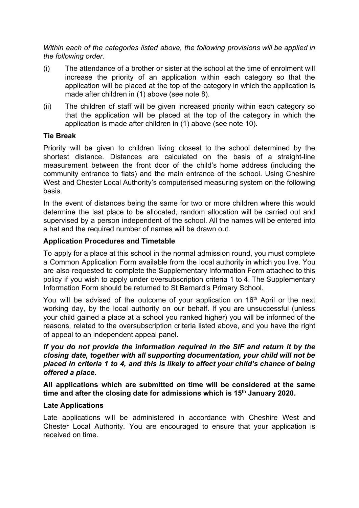*Within each of the categories listed above, the following provisions will be applied in the following order.*

- (i) The attendance of a brother or sister at the school at the time of enrolment will increase the priority of an application within each category so that the application will be placed at the top of the category in which the application is made after children in (1) above (see note 8).
- (ii) The children of staff will be given increased priority within each category so that the application will be placed at the top of the category in which the application is made after children in (1) above (see note 10).

#### **Tie Break**

Priority will be given to children living closest to the school determined by the shortest distance. Distances are calculated on the basis of a straight-line measurement between the front door of the child's home address (including the community entrance to flats) and the main entrance of the school. Using Cheshire West and Chester Local Authority's computerised measuring system on the following basis.

In the event of distances being the same for two or more children where this would determine the last place to be allocated, random allocation will be carried out and supervised by a person independent of the school. All the names will be entered into a hat and the required number of names will be drawn out.

#### **Application Procedures and Timetable**

To apply for a place at this school in the normal admission round, you must complete a Common Application Form available from the local authority in which you live. You are also requested to complete the Supplementary Information Form attached to this policy if you wish to apply under oversubscription criteria 1 to 4. The Supplementary Information Form should be returned to St Bernard's Primary School.

You will be advised of the outcome of your application on 16<sup>th</sup> April or the next working day, by the local authority on our behalf. If you are unsuccessful (unless your child gained a place at a school you ranked higher) you will be informed of the reasons, related to the oversubscription criteria listed above, and you have the right of appeal to an independent appeal panel.

*If you do not provide the information required in the SIF and return it by the closing date, together with all supporting documentation, your child will not be placed in criteria 1 to 4, and this is likely to affect your child's chance of being offered a place.*

#### **All applications which are submitted on time will be considered at the same time and after the closing date for admissions which is 15th January 2020.**

#### **Late Applications**

Late applications will be administered in accordance with Cheshire West and Chester Local Authority. You are encouraged to ensure that your application is received on time.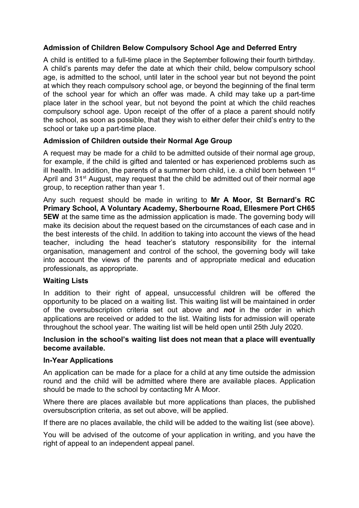# **Admission of Children Below Compulsory School Age and Deferred Entry**

A child is entitled to a full-time place in the September following their fourth birthday. A child's parents may defer the date at which their child, below compulsory school age, is admitted to the school, until later in the school year but not beyond the point at which they reach compulsory school age, or beyond the beginning of the final term of the school year for which an offer was made. A child may take up a part-time place later in the school year, but not beyond the point at which the child reaches compulsory school age. Upon receipt of the offer of a place a parent should notify the school, as soon as possible, that they wish to either defer their child's entry to the school or take up a part-time place.

# **Admission of Children outside their Normal Age Group**

A request may be made for a child to be admitted outside of their normal age group, for example, if the child is gifted and talented or has experienced problems such as ill health. In addition, the parents of a summer born child, i.e. a child born between  $1<sup>st</sup>$ April and 31<sup>st</sup> August, may request that the child be admitted out of their normal age group, to reception rather than year 1.

Any such request should be made in writing to **Mr A Moor, St Bernard's RC Primary School, A Voluntary Academy, Sherbourne Road, Ellesmere Port CH65 5EW** at the same time as the admission application is made. The governing body will make its decision about the request based on the circumstances of each case and in the best interests of the child. In addition to taking into account the views of the head teacher, including the head teacher's statutory responsibility for the internal organisation, management and control of the school, the governing body will take into account the views of the parents and of appropriate medical and education professionals, as appropriate.

#### **Waiting Lists**

In addition to their right of appeal, unsuccessful children will be offered the opportunity to be placed on a waiting list. This waiting list will be maintained in order of the oversubscription criteria set out above and *not* in the order in which applications are received or added to the list. Waiting lists for admission will operate throughout the school year. The waiting list will be held open until 25th July 2020.

#### **Inclusion in the school's waiting list does not mean that a place will eventually become available.**

#### **In-Year Applications**

An application can be made for a place for a child at any time outside the admission round and the child will be admitted where there are available places. Application should be made to the school by contacting Mr A Moor.

Where there are places available but more applications than places, the published oversubscription criteria, as set out above, will be applied.

If there are no places available, the child will be added to the waiting list (see above).

You will be advised of the outcome of your application in writing, and you have the right of appeal to an independent appeal panel.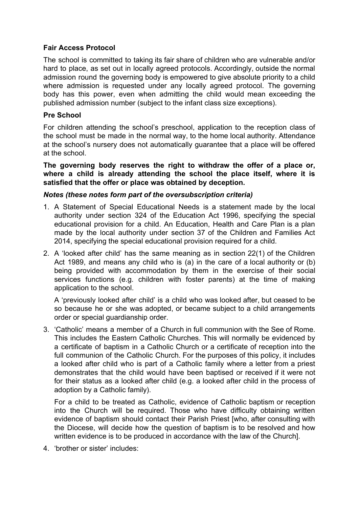# **Fair Access Protocol**

The school is committed to taking its fair share of children who are vulnerable and/or hard to place, as set out in locally agreed protocols. Accordingly, outside the normal admission round the governing body is empowered to give absolute priority to a child where admission is requested under any locally agreed protocol. The governing body has this power, even when admitting the child would mean exceeding the published admission number (subject to the infant class size exceptions).

# **Pre School**

For children attending the school's preschool, application to the reception class of the school must be made in the normal way, to the home local authority. Attendance at the school's nursery does not automatically guarantee that a place will be offered at the school.

**The governing body reserves the right to withdraw the offer of a place or, where a child is already attending the school the place itself, where it is satisfied that the offer or place was obtained by deception.**

# *Notes (these notes form part of the oversubscription criteria)*

- 1. A Statement of Special Educational Needs is a statement made by the local authority under section 324 of the Education Act 1996, specifying the special educational provision for a child. An Education, Health and Care Plan is a plan made by the local authority under section 37 of the Children and Families Act 2014, specifying the special educational provision required for a child.
- 2. A 'looked after child' has the same meaning as in section 22(1) of the Children Act 1989, and means any child who is (a) in the care of a local authority or (b) being provided with accommodation by them in the exercise of their social services functions (e.g. children with foster parents) at the time of making application to the school.

A 'previously looked after child' is a child who was looked after, but ceased to be so because he or she was adopted, or became subject to a child arrangements order or special guardianship order.

3. 'Catholic' means a member of a Church in full communion with the See of Rome. This includes the Eastern Catholic Churches. This will normally be evidenced by a certificate of baptism in a Catholic Church or a certificate of reception into the full communion of the Catholic Church. For the purposes of this policy, it includes a looked after child who is part of a Catholic family where a letter from a priest demonstrates that the child would have been baptised or received if it were not for their status as a looked after child (e.g. a looked after child in the process of adoption by a Catholic family).

For a child to be treated as Catholic, evidence of Catholic baptism or reception into the Church will be required. Those who have difficulty obtaining written evidence of baptism should contact their Parish Priest [who, after consulting with the Diocese, will decide how the question of baptism is to be resolved and how written evidence is to be produced in accordance with the law of the Church].

4. 'brother or sister' includes: